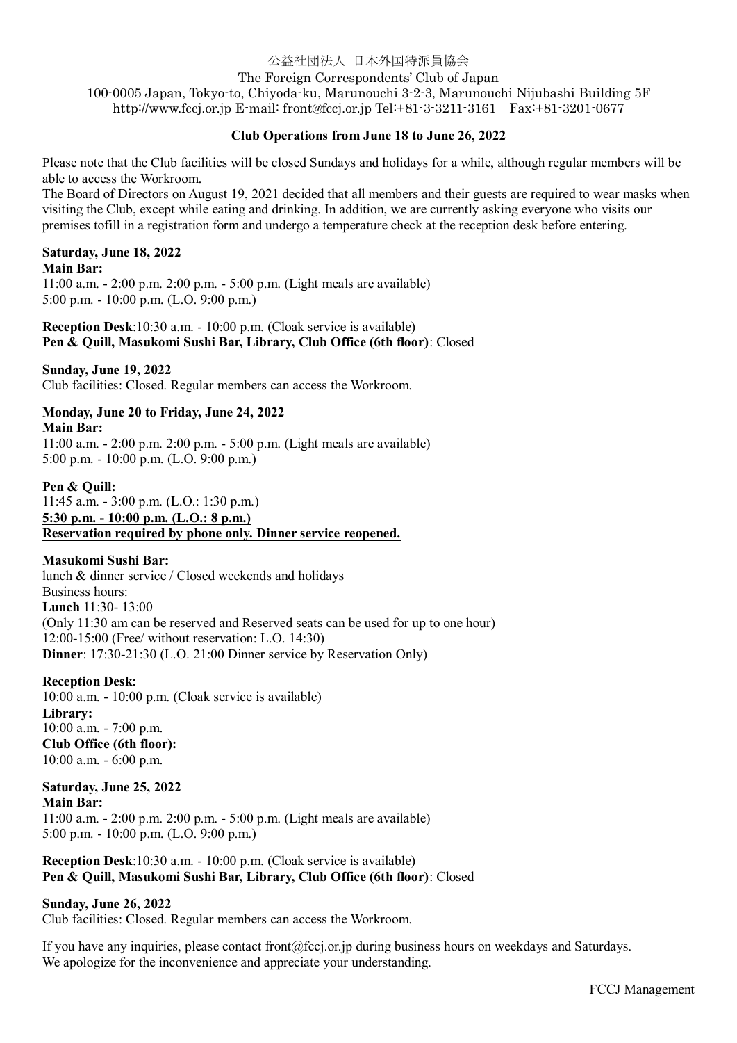# 公益社団法人 日本外国特派員協会

### The Foreign Correspondents' Club of Japan

100-0005 Japan, Tokyo-to, Chiyoda-ku, Marunouchi 3-2-3, Marunouchi Nijubashi Building 5F http://www.fccj.or.jp E-mail: front@fccj.or.jp Tel:+81-3-3211-3161 Fax:+81-3201-0677

### **Club Operations from June 18 to June 26, 2022**

Please note that the Club facilities will be closed Sundays and holidays for a while, although regular members will be able to access the Workroom.

The Board of Directors on August 19, 2021 decided that all members and their guests are required to wear masks when visiting the Club, except while eating and drinking. In addition, we are currently asking everyone who visits our premises tofill in a registration form and undergo a temperature check at the reception desk before entering.

### **Saturday, June 18, 2022**

#### **Main Bar:**

11:00 a.m. - 2:00 p.m. 2:00 p.m. - 5:00 p.m. (Light meals are available) 5:00 p.m. - 10:00 p.m. (L.O. 9:00 p.m.)

**Reception Desk**:10:30 a.m. - 10:00 p.m. (Cloak service is available) **Pen & Quill, Masukomi Sushi Bar, Library, Club Office (6th floor)**: Closed

### **Sunday, June 19, 2022**

Club facilities: Closed. Regular members can access the Workroom.

#### **Monday, June 20 to Friday, June 24, 2022 Main Bar:**

11:00 a.m. - 2:00 p.m. 2:00 p.m. - 5:00 p.m. (Light meals are available) 5:00 p.m. - 10:00 p.m. (L.O. 9:00 p.m.)

### **Pen & Quill:**

11:45 a.m. - 3:00 p.m. (L.O.: 1:30 p.m.) **5:30 p.m. - 10:00 p.m. (L.O.: 8 p.m.) Reservation required by phone only. Dinner service reopened.**

### **Masukomi Sushi Bar:**

lunch & dinner service / Closed weekends and holidays Business hours: **Lunch** 11:30- 13:00 (Only 11:30 am can be reserved and Reserved seats can be used for up to one hour) 12:00-15:00 (Free/ without reservation: L.O. 14:30) **Dinner**: 17:30-21:30 (L.O. 21:00 Dinner service by Reservation Only)

#### **Reception Desk:**

10:00 a.m. - 10:00 p.m. (Cloak service is available) **Library:** 10:00 a.m. - 7:00 p.m. **Club Office (6th floor):** 10:00 a.m. - 6:00 p.m.

# **Saturday, June 25, 2022 Main Bar:**

11:00 a.m. - 2:00 p.m. 2:00 p.m. - 5:00 p.m. (Light meals are available) 5:00 p.m. - 10:00 p.m. (L.O. 9:00 p.m.)

**Reception Desk**:10:30 a.m. - 10:00 p.m. (Cloak service is available) **Pen & Quill, Masukomi Sushi Bar, Library, Club Office (6th floor)**: Closed

### **Sunday, June 26, 2022**

Club facilities: Closed. Regular members can access the Workroom.

If you have any inquiries, please contact front@fccj.or.jp during business hours on weekdays and Saturdays. We apologize for the inconvenience and appreciate your understanding.